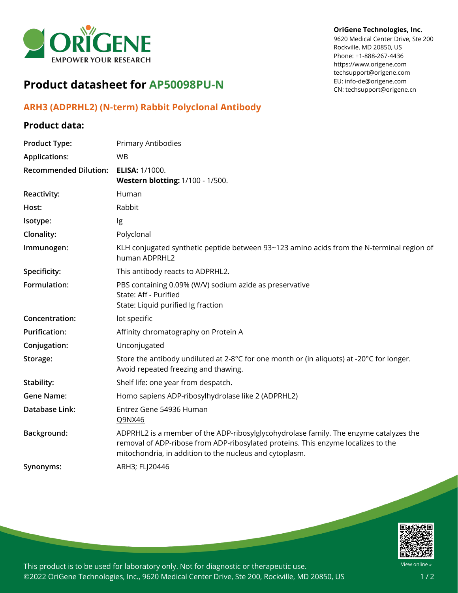

# **Product datasheet for AP50098PU-N**

## **ARH3 (ADPRHL2) (N-term) Rabbit Polyclonal Antibody**

### **Product data:**

## **Product Type:** Primary Antibodies **Applications:** WB **Recommended Dilution: ELISA:** 1/1000. **Western blotting:** 1/100 - 1/500. **Reactivity:** Human **Host:** Rabbit **Isotype:** Ig **Clonality:** Polyclonal **Immunogen:** KLH conjugated synthetic peptide between 93~123 amino acids from the N-terminal region of human ADPRHL2 **Specificity:** This antibody reacts to ADPRHL2. **Formulation:** PBS containing 0.09% (W/V) sodium azide as preservative State: Aff - Purified State: Liquid purified Ig fraction **Concentration:** lot specific Purification: Affinity chromatography on Protein A **Conjugation:** Unconjugated **Storage:** Store the antibody undiluted at 2-8°C for one month or (in aliquots) at -20°C for longer. Avoid repeated freezing and thawing. **Stability:** Shelf life: one year from despatch. **Gene Name:** Homo sapiens ADP-ribosylhydrolase like 2 (ADPRHL2) **Database Link:** Entrez Gene 54936 [Human](https://www.ncbi.nlm.nih.gov/gene?cmd=Retrieve&dopt=Graphics&list_uids=54936) [Q9NX46](https://www.uniprot.org/uniprot/Q9NX46) **Background:** ADPRHL2 is a member of the ADP-ribosylglycohydrolase family. The enzyme catalyzes the removal of ADP-ribose from ADP-ribosylated proteins. This enzyme localizes to the mitochondria, in addition to the nucleus and cytoplasm. **Synonyms:** ARH3; FLJ20446



This product is to be used for laboratory only. Not for diagnostic or therapeutic use. ©2022 OriGene Technologies, Inc., 9620 Medical Center Drive, Ste 200, Rockville, MD 20850, US

### **OriGene Technologies, Inc.**

9620 Medical Center Drive, Ste 200 Rockville, MD 20850, US Phone: +1-888-267-4436 https://www.origene.com techsupport@origene.com EU: info-de@origene.com CN: techsupport@origene.cn